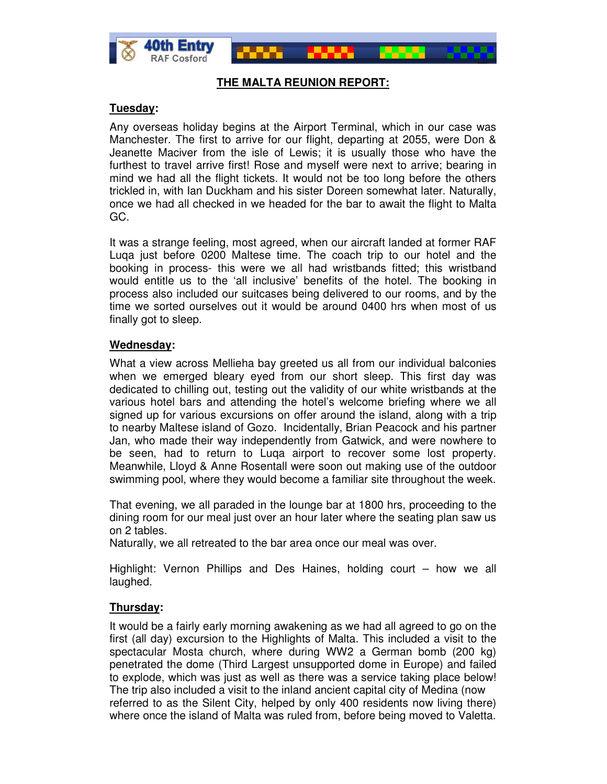



### **THE MALTA REUNION REPORT:**

### **Tuesday:**

Any overseas holiday begins at the Airport Terminal, which in our case was Manchester. The first to arrive for our flight, departing at 2055, were Don & Jeanette Maciver from the isle of Lewis; it is usually those who have the furthest to travel arrive first! Rose and myself were next to arrive; bearing in mind we had all the flight tickets. It would not be too long before the others trickled in, with Ian Duckham and his sister Doreen somewhat later. Naturally, once we had all checked in we headed for the bar to await the flight to Malta GC.

It was a strange feeling, most agreed, when our aircraft landed at former RAF Luqa just before 0200 Maltese time. The coach trip to our hotel and the booking in process- this were we all had wristbands fitted; this wristband would entitle us to the 'all inclusive' benefits of the hotel. The booking in process also included our suitcases being delivered to our rooms, and by the time we sorted ourselves out it would be around 0400 hrs when most of us finally got to sleep.

## **Wednesday:**

What a view across Mellieha bay greeted us all from our individual balconies when we emerged bleary eyed from our short sleep. This first day was dedicated to chilling out, testing out the validity of our white wristbands at the various hotel bars and attending the hotel's welcome briefing where we all signed up for various excursions on offer around the island, along with a trip to nearby Maltese island of Gozo. Incidentally, Brian Peacock and his partner Jan, who made their way independently from Gatwick, and were nowhere to be seen, had to return to Luqa airport to recover some lost property. Meanwhile, Lloyd & Anne Rosentall were soon out making use of the outdoor swimming pool, where they would become a familiar site throughout the week.

That evening, we all paraded in the lounge bar at 1800 hrs, proceeding to the dining room for our meal just over an hour later where the seating plan saw us on 2 tables.

Naturally, we all retreated to the bar area once our meal was over.

Highlight: Vernon Phillips and Des Haines, holding court – how we all laughed.

# **Thursday:**

It would be a fairly early morning awakening as we had all agreed to go on the first (all day) excursion to the Highlights of Malta. This included a visit to the spectacular Mosta church, where during WW2 a German bomb (200 kg) penetrated the dome (Third Largest unsupported dome in Europe) and failed to explode, which was just as well as there was a service taking place below! The trip also included a visit to the inland ancient capital city of Medina (now referred to as the Silent City, helped by only 400 residents now living there) where once the island of Malta was ruled from, before being moved to Valetta.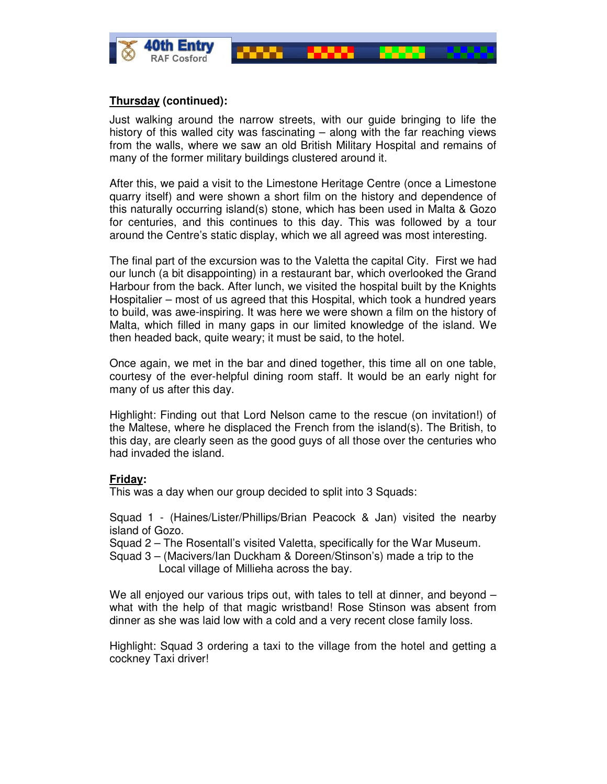

### **Thursday (continued):**

Just walking around the narrow streets, with our guide bringing to life the history of this walled city was fascinating – along with the far reaching views from the walls, where we saw an old British Military Hospital and remains of many of the former military buildings clustered around it.

After this, we paid a visit to the Limestone Heritage Centre (once a Limestone quarry itself) and were shown a short film on the history and dependence of this naturally occurring island(s) stone, which has been used in Malta & Gozo for centuries, and this continues to this day. This was followed by a tour around the Centre's static display, which we all agreed was most interesting.

The final part of the excursion was to the Valetta the capital City. First we had our lunch (a bit disappointing) in a restaurant bar, which overlooked the Grand Harbour from the back. After lunch, we visited the hospital built by the Knights Hospitalier – most of us agreed that this Hospital, which took a hundred years to build, was awe-inspiring. It was here we were shown a film on the history of Malta, which filled in many gaps in our limited knowledge of the island. We then headed back, quite weary; it must be said, to the hotel.

Once again, we met in the bar and dined together, this time all on one table, courtesy of the ever-helpful dining room staff. It would be an early night for many of us after this day.

Highlight: Finding out that Lord Nelson came to the rescue (on invitation!) of the Maltese, where he displaced the French from the island(s). The British, to this day, are clearly seen as the good guys of all those over the centuries who had invaded the island.

### **Friday:**

This was a day when our group decided to split into 3 Squads:

Squad 1 - (Haines/Lister/Phillips/Brian Peacock & Jan) visited the nearby island of Gozo.

Squad 2 – The Rosentall's visited Valetta, specifically for the War Museum.

Squad 3 – (Macivers/Ian Duckham & Doreen/Stinson's) made a trip to the Local village of Millieha across the bay.

We all enjoyed our various trips out, with tales to tell at dinner, and beyond – what with the help of that magic wristband! Rose Stinson was absent from dinner as she was laid low with a cold and a very recent close family loss.

Highlight: Squad 3 ordering a taxi to the village from the hotel and getting a cockney Taxi driver!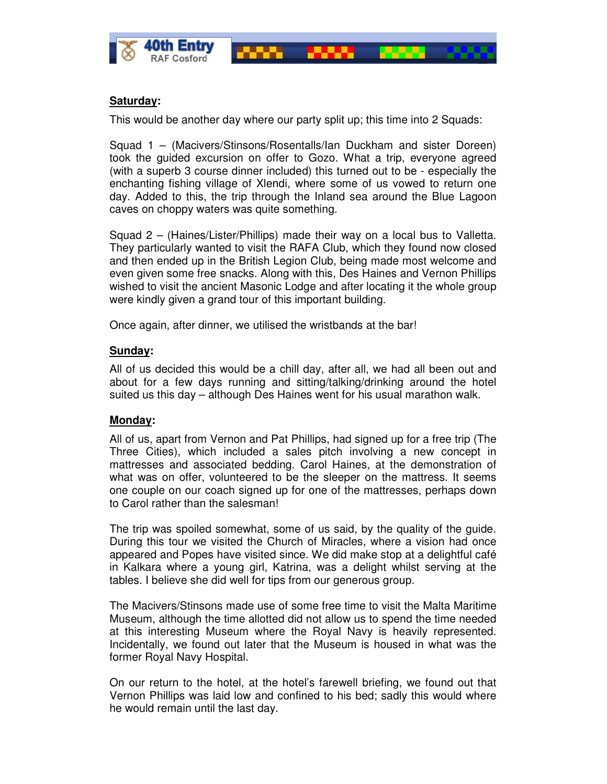



# **Saturday:**

This would be another day where our party split up; this time into 2 Squads:

Squad 1 – (Macivers/Stinsons/Rosentalls/Ian Duckham and sister Doreen) took the guided excursion on offer to Gozo. What a trip, everyone agreed (with a superb 3 course dinner included) this turned out to be - especially the enchanting fishing village of Xlendi, where some of us vowed to return one day. Added to this, the trip through the Inland sea around the Blue Lagoon caves on choppy waters was quite something.

Squad 2 – (Haines/Lister/Phillips) made their way on a local bus to Valletta. They particularly wanted to visit the RAFA Club, which they found now closed and then ended up in the British Legion Club, being made most welcome and even given some free snacks. Along with this, Des Haines and Vernon Phillips wished to visit the ancient Masonic Lodge and after locating it the whole group were kindly given a grand tour of this important building.

Once again, after dinner, we utilised the wristbands at the bar!

## **Sunday:**

All of us decided this would be a chill day, after all, we had all been out and about for a few days running and sitting/talking/drinking around the hotel suited us this day – although Des Haines went for his usual marathon walk.

# **Monday:**

All of us, apart from Vernon and Pat Phillips, had signed up for a free trip (The Three Cities), which included a sales pitch involving a new concept in mattresses and associated bedding. Carol Haines, at the demonstration of what was on offer, volunteered to be the sleeper on the mattress. It seems one couple on our coach signed up for one of the mattresses, perhaps down to Carol rather than the salesman!

The trip was spoiled somewhat, some of us said, by the quality of the guide. During this tour we visited the Church of Miracles, where a vision had once appeared and Popes have visited since. We did make stop at a delightful café in Kalkara where a young girl, Katrina, was a delight whilst serving at the tables. I believe she did well for tips from our generous group.

The Macivers/Stinsons made use of some free time to visit the Malta Maritime Museum, although the time allotted did not allow us to spend the time needed at this interesting Museum where the Royal Navy is heavily represented. Incidentally, we found out later that the Museum is housed in what was the former Royal Navy Hospital.

On our return to the hotel, at the hotel's farewell briefing, we found out that Vernon Phillips was laid low and confined to his bed; sadly this would where he would remain until the last day.